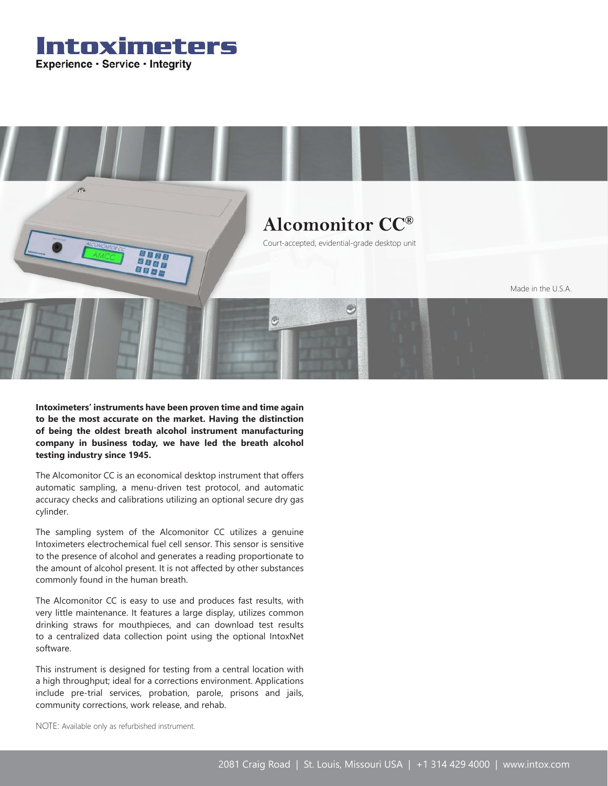Intoximeters Experience · Service · Integrity



**Intoximeters' instruments have been proven time and time again to be the most accurate on the market. Having the distinction of being the oldest breath alcohol instrument manufacturing company in business today, we have led the breath alcohol testing industry since 1945.**

The Alcomonitor CC is an economical desktop instrument that offers automatic sampling, a menu-driven test protocol, and automatic accuracy checks and calibrations utilizing an optional secure dry gas cylinder.

The sampling system of the Alcomonitor CC utilizes a genuine Intoximeters electrochemical fuel cell sensor. This sensor is sensitive to the presence of alcohol and generates a reading proportionate to the amount of alcohol present. It is not affected by other substances commonly found in the human breath.

The Alcomonitor CC is easy to use and produces fast results, with very little maintenance. It features a large display, utilizes common drinking straws for mouthpieces, and can download test results to a centralized data collection point using the optional IntoxNet software.

This instrument is designed for testing from a central location with a high throughput; ideal for a corrections environment. Applications include pre-trial services, probation, parole, prisons and jails, community corrections, work release, and rehab.

NOTE: Available only as refurbished instrument.